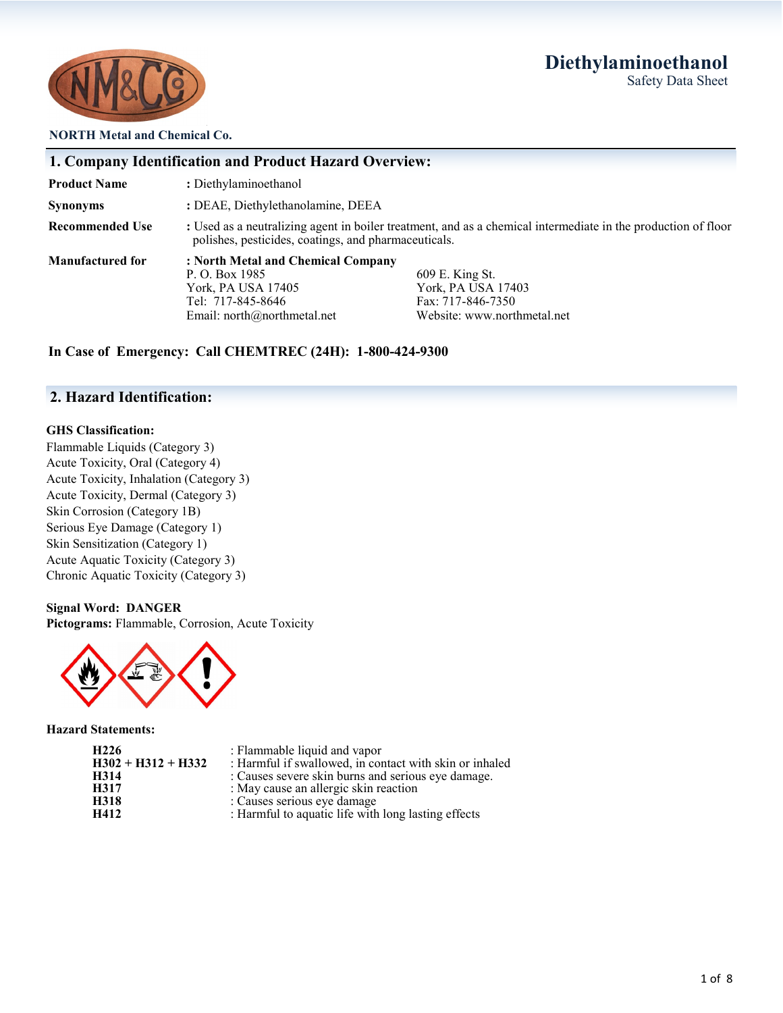# **Diethylaminoethanol** Safety Data Sheet



#### **NORTH Metal and Chemical Co.**

|                         | 1. Company Identification and Product Hazard Overview:                                                                       |                                                                                                               |
|-------------------------|------------------------------------------------------------------------------------------------------------------------------|---------------------------------------------------------------------------------------------------------------|
| <b>Product Name</b>     | : Diethylaminoethanol                                                                                                        |                                                                                                               |
| <b>Synonyms</b>         | : DEAE, Diethylethanolamine, DEEA                                                                                            |                                                                                                               |
| <b>Recommended Use</b>  | polishes, pesticides, coatings, and pharmaceuticals.                                                                         | : Used as a neutralizing agent in boiler treatment, and as a chemical intermediate in the production of floor |
| <b>Manufactured for</b> | : North Metal and Chemical Company<br>P. O. Box 1985<br>York, PA USA 17405<br>Tel: 717-845-8646<br>Email: $north@normal.net$ | 609 E. King St.<br>York, PA USA 17403<br>Fax: 717-846-7350<br>Website: www.northmetal.net                     |

# **In Case of Emergency: Call CHEMTREC (24H): 1-800-424-9300**

## **2. Hazard Identification:**

#### **GHS Classification:**

Flammable Liquids (Category 3) Acute Toxicity, Oral (Category 4) Acute Toxicity, Inhalation (Category 3) Acute Toxicity, Dermal (Category 3) Skin Corrosion (Category 1B) Serious Eye Damage (Category 1) Skin Sensitization (Category 1) Acute Aquatic Toxicity (Category 3) Chronic Aquatic Toxicity (Category 3)

#### **Signal Word: DANGER**

**Pictograms:** Flammable, Corrosion, Acute Toxicity



**Hazard Statements:**

| H <sub>226</sub>     | : Flammable liquid and vapor                            |
|----------------------|---------------------------------------------------------|
| $H302 + H312 + H332$ | : Harmful if swallowed, in contact with skin or inhaled |
| H314                 | : Causes severe skin burns and serious eye damage.      |
| H317                 | : May cause an allergic skin reaction                   |
| H318                 | : Causes serious eye damage                             |
| H412                 | : Harmful to aquatic life with long lasting effects     |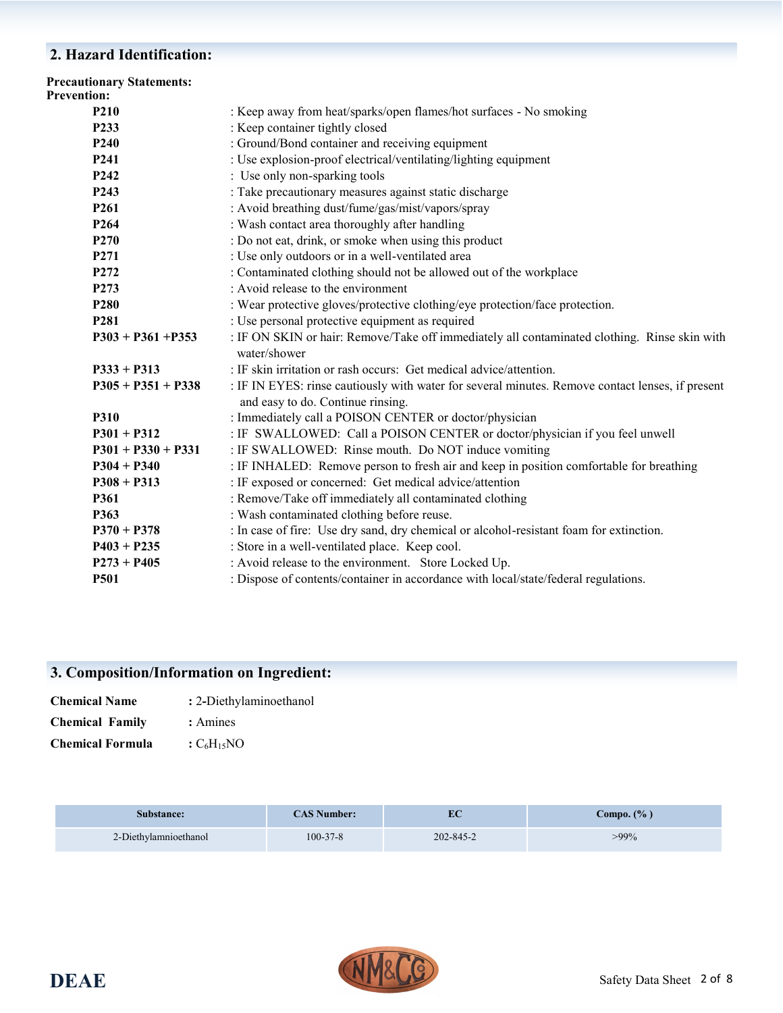# **2. Hazard Identification:**

| <b>Precautionary Statements:</b><br><b>Prevention:</b> |                                                                                                                                       |
|--------------------------------------------------------|---------------------------------------------------------------------------------------------------------------------------------------|
| <b>P210</b>                                            | : Keep away from heat/sparks/open flames/hot surfaces - No smoking                                                                    |
| P233                                                   | : Keep container tightly closed                                                                                                       |
| P <sub>240</sub>                                       | : Ground/Bond container and receiving equipment                                                                                       |
| P <sub>241</sub>                                       | : Use explosion-proof electrical/ventilating/lighting equipment                                                                       |
| P <sub>242</sub>                                       | : Use only non-sparking tools                                                                                                         |
| P <sub>243</sub>                                       | : Take precautionary measures against static discharge                                                                                |
| P <sub>261</sub>                                       | : Avoid breathing dust/fume/gas/mist/vapors/spray                                                                                     |
| P <sub>264</sub>                                       | : Wash contact area thoroughly after handling                                                                                         |
| P <sub>270</sub>                                       | : Do not eat, drink, or smoke when using this product                                                                                 |
| P <sub>271</sub>                                       | : Use only outdoors or in a well-ventilated area                                                                                      |
| P272                                                   | : Contaminated clothing should not be allowed out of the workplace                                                                    |
| P <sub>273</sub>                                       | : Avoid release to the environment                                                                                                    |
| P <sub>280</sub>                                       | : Wear protective gloves/protective clothing/eye protection/face protection.                                                          |
| P <sub>281</sub>                                       | : Use personal protective equipment as required                                                                                       |
| $P303 + P361 + P353$                                   | : IF ON SKIN or hair: Remove/Take off immediately all contaminated clothing. Rinse skin with<br>water/shower                          |
| $P333 + P313$                                          | : IF skin irritation or rash occurs: Get medical advice/attention.                                                                    |
| $P305 + P351 + P338$                                   | : IF IN EYES: rinse cautiously with water for several minutes. Remove contact lenses, if present<br>and easy to do. Continue rinsing. |
| P310                                                   | : Immediately call a POISON CENTER or doctor/physician                                                                                |
| $P301 + P312$                                          | : IF SWALLOWED: Call a POISON CENTER or doctor/physician if you feel unwell                                                           |
| $P301 + P330 + P331$                                   | : IF SWALLOWED: Rinse mouth. Do NOT induce vomiting                                                                                   |
| $P304 + P340$                                          | : IF INHALED: Remove person to fresh air and keep in position comfortable for breathing                                               |
| $P308 + P313$                                          | : IF exposed or concerned: Get medical advice/attention                                                                               |
| <b>P361</b>                                            | : Remove/Take off immediately all contaminated clothing                                                                               |
| P363                                                   | : Wash contaminated clothing before reuse.                                                                                            |
| $P370 + P378$                                          | : In case of fire: Use dry sand, dry chemical or alcohol-resistant foam for extinction.                                               |
| $P403 + P235$                                          | : Store in a well-ventilated place. Keep cool.                                                                                        |
| $P273 + P405$                                          | : Avoid release to the environment. Store Locked Up.                                                                                  |
| P501                                                   | : Dispose of contents/container in accordance with local/state/federal regulations.                                                   |
|                                                        |                                                                                                                                       |

# **3. Composition/Information on Ingredient:**

| <b>Chemical Name</b>    | : 2-Diethylaminoethanol |
|-------------------------|-------------------------|
| <b>Chemical Family</b>  | : Amines                |
| <b>Chemical Formula</b> | $C_6H_15NO$             |

| <b>Substance:</b>     | $\mathbb{C}\mathrm{AS}$ Number: $\blacksquare$ | EC        | C <b>ompo.</b> (% ) |
|-----------------------|------------------------------------------------|-----------|---------------------|
| 2-Diethylamnioethanol | $100 - 37 - 8$                                 | 202-845-2 | $>99\%$             |

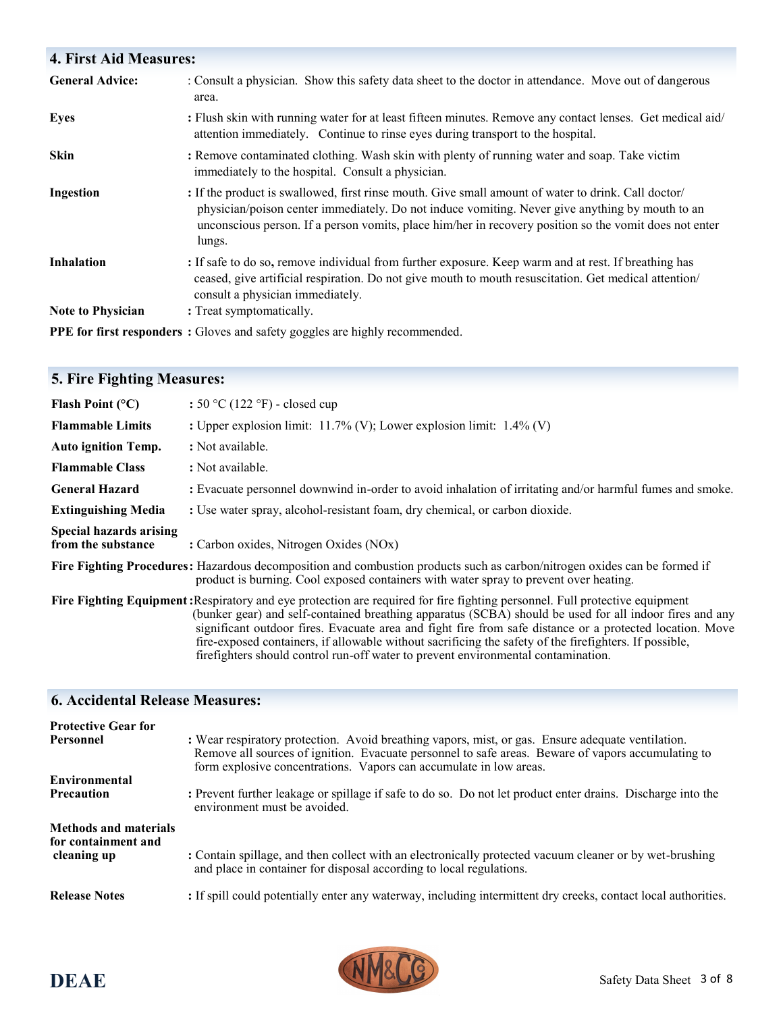# **4. First Aid Measures:**  General Advice: : Consult a physician. Show this safety data sheet to the doctor in attendance. Move out of dangerous area. **Eyes :** Flush skin with running water for at least fifteen minutes. Remove any contact lenses. Get medical aid/ attention immediately. Continue to rinse eyes during transport to the hospital. **Skin :** Remove contaminated clothing. Wash skin with plenty of running water and soap. Take victim immediately to the hospital. Consult a physician. **Ingestion :** If the product is swallowed, first rinse mouth. Give small amount of water to drink. Call doctor/ physician/poison center immediately. Do not induce vomiting. Never give anything by mouth to an unconscious person. If a person vomits, place him/her in recovery position so the vomit does not enter lungs. **Inhalation** : If safe to do so, remove individual from further exposure. Keep warm and at rest. If breathing has ceased, give artificial respiration. Do not give mouth to mouth resuscitation. Get medical attention/ consult a physician immediately. **Note to Physician :** Treat symptomatically. **PPE for first responders :** Gloves and safety goggles are highly recommended.

# **5. Fire Fighting Measures:**

| Flash Point $(°C)$                                   | : $50 °C$ (122 °F) - closed cup                                                                                                                                                                                                                                                                                                                                                                                                                                                                                                                   |
|------------------------------------------------------|---------------------------------------------------------------------------------------------------------------------------------------------------------------------------------------------------------------------------------------------------------------------------------------------------------------------------------------------------------------------------------------------------------------------------------------------------------------------------------------------------------------------------------------------------|
| <b>Flammable Limits</b>                              | : Upper explosion limit: $11.7\%$ (V); Lower explosion limit: $1.4\%$ (V)                                                                                                                                                                                                                                                                                                                                                                                                                                                                         |
| <b>Auto ignition Temp.</b>                           | : Not available.                                                                                                                                                                                                                                                                                                                                                                                                                                                                                                                                  |
| <b>Flammable Class</b>                               | : Not available.                                                                                                                                                                                                                                                                                                                                                                                                                                                                                                                                  |
| <b>General Hazard</b>                                | : Evacuate personnel downwind in-order to avoid inhalation of irritating and/or harmful fumes and smoke.                                                                                                                                                                                                                                                                                                                                                                                                                                          |
| <b>Extinguishing Media</b>                           | : Use water spray, alcohol-resistant foam, dry chemical, or carbon dioxide.                                                                                                                                                                                                                                                                                                                                                                                                                                                                       |
| <b>Special hazards arising</b><br>from the substance | : Carbon oxides, Nitrogen Oxides (NOx)                                                                                                                                                                                                                                                                                                                                                                                                                                                                                                            |
|                                                      | Fire Fighting Procedures: Hazardous decomposition and combustion products such as carbon/nitrogen oxides can be formed if<br>product is burning. Cool exposed containers with water spray to prevent over heating.                                                                                                                                                                                                                                                                                                                                |
|                                                      | Fire Fighting Equipment: Respiratory and eye protection are required for fire fighting personnel. Full protective equipment<br>(bunker gear) and self-contained breathing apparatus (SCBA) should be used for all indoor fires and any<br>significant outdoor fires. Evacuate area and fight fire from safe distance or a protected location. Move<br>fire-exposed containers, if allowable without sacrificing the safety of the firefighters. If possible,<br>firefighters should control run-off water to prevent environmental contamination. |

## **6. Accidental Release Measures:**

| <b>Protective Gear for</b><br><b>Personnel</b>                     | : Wear respiratory protection. Avoid breathing vapors, mist, or gas. Ensure adequate ventilation.<br>Remove all sources of ignition. Evacuate personnel to safe areas. Beware of vapors accumulating to<br>form explosive concentrations. Vapors can accumulate in low areas. |
|--------------------------------------------------------------------|-------------------------------------------------------------------------------------------------------------------------------------------------------------------------------------------------------------------------------------------------------------------------------|
| Environmental<br><b>Precaution</b>                                 | : Prevent further leakage or spillage if safe to do so. Do not let product enter drains. Discharge into the<br>environment must be avoided.                                                                                                                                   |
| <b>Methods and materials</b><br>for containment and<br>cleaning up | : Contain spillage, and then collect with an electronically protected vacuum cleaner or by wet-brushing<br>and place in container for disposal according to local regulations.                                                                                                |
| <b>Release Notes</b>                                               | : If spill could potentially enter any waterway, including intermittent dry creeks, contact local authorities.                                                                                                                                                                |



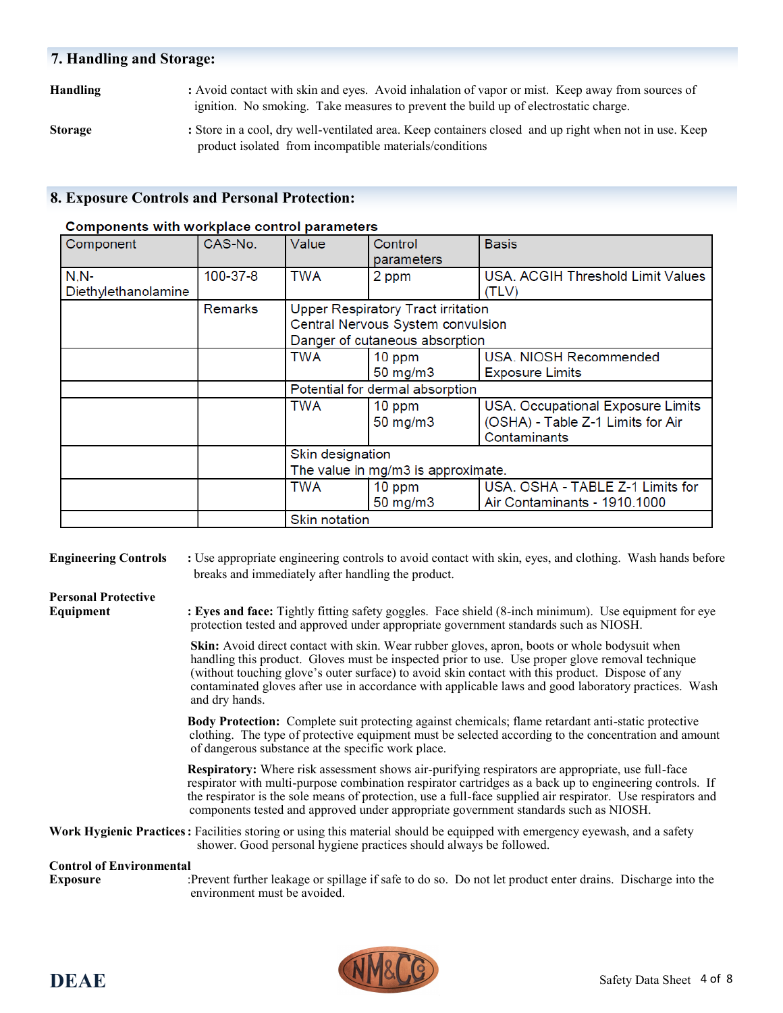## **7. Handling and Storage:**

**Handling :** Avoid contact with skin and eyes. Avoid inhalation of vapor or mist. Keep away from sources of ignition. No smoking. Take measures to prevent the build up of electrostatic charge.

**Storage :** Store in a cool, dry well-ventilated area. Keep containers closed and up right when not in use. Keep product isolated from incompatible materials/conditions

## **8. Exposure Controls and Personal Protection:**

#### Components with workplace control parameters

| Component           | CAS-No.        | Value                | Control<br>parameters                     | <b>Basis</b>                      |
|---------------------|----------------|----------------------|-------------------------------------------|-----------------------------------|
| $N.N-$              | 100-37-8       | <b>TWA</b>           | 2 ppm                                     | USA. ACGIH Threshold Limit Values |
| Diethylethanolamine |                |                      |                                           | (TLV)                             |
|                     | <b>Remarks</b> |                      | <b>Upper Respiratory Tract irritation</b> |                                   |
|                     |                |                      | Central Nervous System convulsion         |                                   |
|                     |                |                      | Danger of cutaneous absorption            |                                   |
|                     |                | <b>TWA</b>           | 10 ppm                                    | USA. NIOSH Recommended            |
|                     |                |                      | $50$ mg/m $3$                             | <b>Exposure Limits</b>            |
|                     |                |                      | Potential for dermal absorption           |                                   |
|                     |                | <b>TWA</b>           | 10 ppm                                    | USA. Occupational Exposure Limits |
|                     |                |                      | 50 mg/m3                                  | (OSHA) - Table Z-1 Limits for Air |
|                     |                |                      |                                           | Contaminants                      |
|                     |                | Skin designation     |                                           |                                   |
|                     |                |                      | The value in mg/m3 is approximate.        |                                   |
|                     |                | <b>TWA</b>           | 10 ppm                                    | USA. OSHA - TABLE Z-1 Limits for  |
|                     |                |                      | 50 mg/m3                                  | Air Contaminants - 1910.1000      |
|                     |                | <b>Skin notation</b> |                                           |                                   |

**Engineering Controls :** Use appropriate engineering controls to avoid contact with skin, eyes, and clothing. Wash hands before breaks and immediately after handling the product.

# **Personal Protective**

**Equipment : Eyes and face:** Tightly fitting safety goggles. Face shield (8-inch minimum). Use equipment for eye protection tested and approved under appropriate government standards such as NIOSH.

> **Skin:** Avoid direct contact with skin. Wear rubber gloves, apron, boots or whole bodysuit when handling this product. Gloves must be inspected prior to use. Use proper glove removal technique (without touching glove's outer surface) to avoid skin contact with this product. Dispose of any contaminated gloves after use in accordance with applicable laws and good laboratory practices. Wash and dry hands.

> **Body Protection:** Complete suit protecting against chemicals; flame retardant anti-static protective clothing. The type of protective equipment must be selected according to the concentration and amount of dangerous substance at the specific work place.

> **Respiratory:** Where risk assessment shows air-purifying respirators are appropriate, use full-face respirator with multi-purpose combination respirator cartridges as a back up to engineering controls. If the respirator is the sole means of protection, use a full-face supplied air respirator. Use respirators and components tested and approved under appropriate government standards such as NIOSH.

**Work Hygienic Practices:** Facilities storing or using this material should be equipped with emergency eyewash, and a safety shower. Good personal hygiene practices should always be followed.

#### **Control of Environmental**

**Exposure** :Prevent further leakage or spillage if safe to do so. Do not let product enter drains. Discharge into the environment must be avoided.

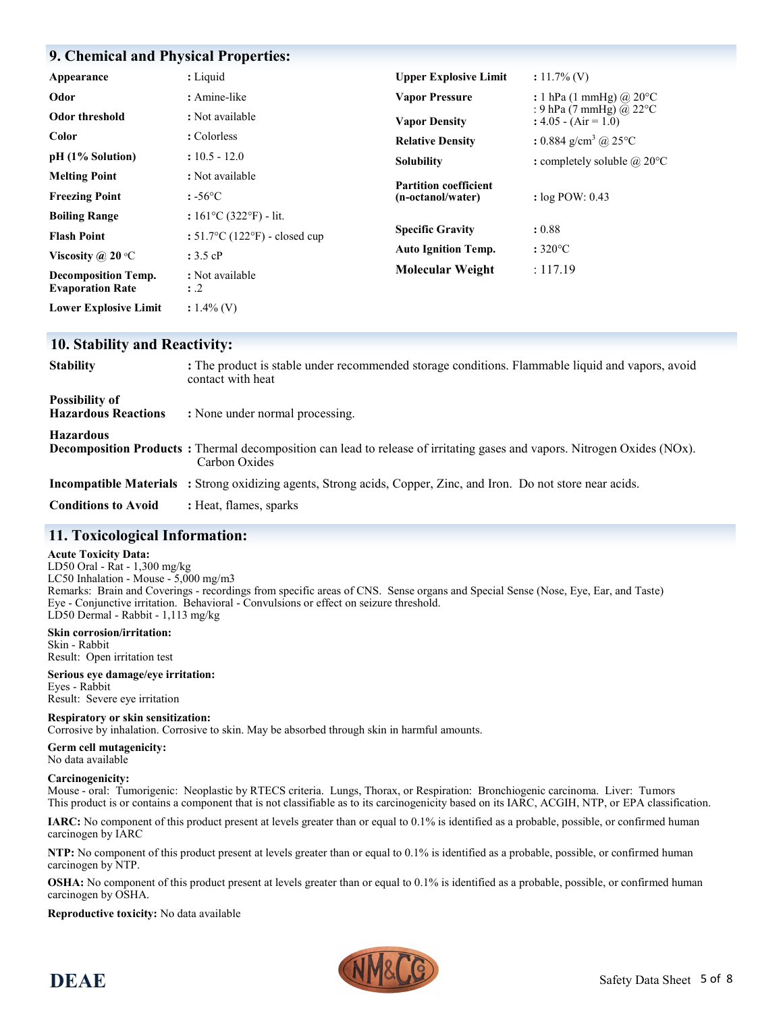## **9. Chemical and Physical Properties:**

| Appearance                                            | : Liquid                                           | <b>Upper Explosive Limit</b> | $: 11.7\%$ (V)                                              |
|-------------------------------------------------------|----------------------------------------------------|------------------------------|-------------------------------------------------------------|
| Odor                                                  | : Amine-like                                       | <b>Vapor Pressure</b>        | : 1 hPa (1 mmHg) @ $20^{\circ}$ C                           |
| Odor threshold                                        | : Not available                                    | <b>Vapor Density</b>         | : 9 hPa (7 mmHg) @ 22 $\degree$ C<br>: $4.05 - (Air = 1.0)$ |
| Color                                                 | : Colorless                                        | <b>Relative Density</b>      | : 0.884 g/cm <sup>3</sup> @ 25 $^{\circ}$ C                 |
| $pH (1\%$ Solution)                                   | $: 10.5 - 12.0$                                    | <b>Solubility</b>            | : completely soluble $\omega$ 20°C                          |
| <b>Melting Point</b>                                  | : Not available                                    | <b>Partition coefficient</b> |                                                             |
| <b>Freezing Point</b>                                 | $: -56^{\circ}C$                                   | (n-octanol/water)            | : $log POW: 0.43$                                           |
| <b>Boiling Range</b>                                  | : $161^{\circ}C(322^{\circ}F)$ - lit.              |                              |                                                             |
| <b>Flash Point</b>                                    | : $51.7^{\circ}$ C (122 $^{\circ}$ F) - closed cup | <b>Specific Gravity</b>      | : 0.88                                                      |
| Viscosity @ 20 $\degree$ C                            | : 3.5 cP                                           | <b>Auto Ignition Temp.</b>   | $:320^{\circ}$ C                                            |
| <b>Decomposition Temp.</b><br><b>Evaporation Rate</b> | : Not available<br>$\therefore$ .2                 | <b>Molecular Weight</b>      | : 117.19                                                    |
| <b>Lower Explosive Limit</b>                          | $: 1.4\%$ (V)                                      |                              |                                                             |

#### **10. Stability and Reactivity:**

| <b>Stability</b>                                    | : The product is stable under recommended storage conditions. Flammable liquid and vapors, avoid<br>contact with heat                             |
|-----------------------------------------------------|---------------------------------------------------------------------------------------------------------------------------------------------------|
| <b>Possibility of</b><br><b>Hazardous Reactions</b> | : None under normal processing.                                                                                                                   |
| <b>Hazardous</b>                                    | <b>Decomposition Products</b> : Thermal decomposition can lead to release of irritating gases and vapors. Nitrogen Oxides (NOx).<br>Carbon Oxides |
|                                                     | <b>Incompatible Materials</b> : Strong oxidizing agents, Strong acids, Copper, Zinc, and Iron. Do not store near acids.                           |
| <b>Conditions to Avoid</b>                          | : Heat, flames, sparks                                                                                                                            |

## **11. Toxicological Information:**

#### **Acute Toxicity Data:**

LD50 Oral - Rat - 1,300 mg/kg LC50 Inhalation - Mouse - 5,000 mg/m3 Remarks: Brain and Coverings - recordings from specific areas of CNS. Sense organs and Special Sense (Nose, Eye, Ear, and Taste) Eye - Conjunctive irritation. Behavioral - Convulsions or effect on seizure threshold. LD50 Dermal - Rabbit - 1,113 mg/kg

**Skin corrosion/irritation:** Skin - Rabbit Result: Open irritation test

**Serious eye damage/eye irritation:** Eyes - Rabbit Result: Severe eye irritation

**Respiratory or skin sensitization:** Corrosive by inhalation. Corrosive to skin. May be absorbed through skin in harmful amounts.

**Germ cell mutagenicity:** No data available

#### **Carcinogenicity:**

Mouse - oral: Tumorigenic: Neoplastic by RTECS criteria. Lungs, Thorax, or Respiration: Bronchiogenic carcinoma. Liver: Tumors This product is or contains a component that is not classifiable as to its carcinogenicity based on its IARC, ACGIH, NTP, or EPA classification.

**IARC:** No component of this product present at levels greater than or equal to 0.1% is identified as a probable, possible, or confirmed human carcinogen by IARC

**NTP:** No component of this product present at levels greater than or equal to 0.1% is identified as a probable, possible, or confirmed human carcinogen by NTP.

**OSHA:** No component of this product present at levels greater than or equal to 0.1% is identified as a probable, possible, or confirmed human carcinogen by OSHA.

**Reproductive toxicity:** No data available

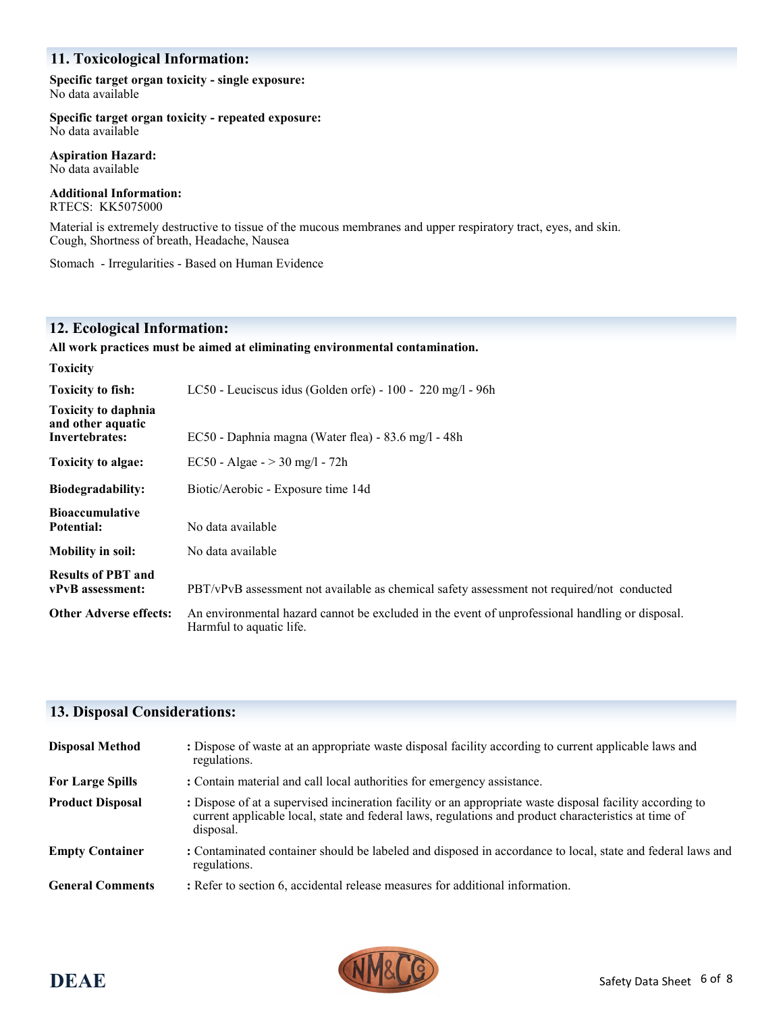## **11. Toxicological Information:**

**Specific target organ toxicity - single exposure:** No data available

**Specific target organ toxicity - repeated exposure:** No data available

**Aspiration Hazard:** No data available

**Additional Information:** RTECS: KK5075000

Material is extremely destructive to tissue of the mucous membranes and upper respiratory tract, eyes, and skin. Cough, Shortness of breath, Headache, Nausea

Stomach - Irregularities - Based on Human Evidence

## **12. Ecological Information:**

#### **All work practices must be aimed at eliminating environmental contamination.**

| <b>Toxicity</b>                                                   |                                                                                                                             |
|-------------------------------------------------------------------|-----------------------------------------------------------------------------------------------------------------------------|
| <b>Toxicity to fish:</b>                                          | LC50 - Leuciscus idus (Golden orfe) - $100 - 220$ mg/l - 96h                                                                |
| <b>Toxicity to daphnia</b><br>and other aquatic<br>Invertebrates: | EC50 - Daphnia magna (Water flea) - 83.6 mg/l - 48h                                                                         |
| Toxicity to algae:                                                | EC50 - Algae - $>$ 30 mg/l - 72h                                                                                            |
| <b>Biodegradability:</b>                                          | Biotic/Aerobic - Exposure time 14d                                                                                          |
| <b>Bioaccumulative</b><br>Potential:                              | No data available                                                                                                           |
| <b>Mobility in soil:</b>                                          | No data available                                                                                                           |
| <b>Results of PBT and</b><br>vPvB assessment:                     | PBT/vPvB assessment not available as chemical safety assessment not required/not conducted                                  |
| <b>Other Adverse effects:</b>                                     | An environmental hazard cannot be excluded in the event of unprofessional handling or disposal.<br>Harmful to aquatic life. |

# **13. Disposal Considerations:**

| <b>Disposal Method</b>  | : Dispose of waste at an appropriate waste disposal facility according to current applicable laws and<br>regulations.                                                                                                          |
|-------------------------|--------------------------------------------------------------------------------------------------------------------------------------------------------------------------------------------------------------------------------|
| <b>For Large Spills</b> | : Contain material and call local authorities for emergency assistance.                                                                                                                                                        |
| <b>Product Disposal</b> | : Dispose of at a supervised incineration facility or an appropriate waste disposal facility according to<br>current applicable local, state and federal laws, regulations and product characteristics at time of<br>disposal. |
| <b>Empty Container</b>  | : Contaminated container should be labeled and disposed in accordance to local, state and federal laws and<br>regulations.                                                                                                     |
| <b>General Comments</b> | : Refer to section 6, accidental release measures for additional information.                                                                                                                                                  |

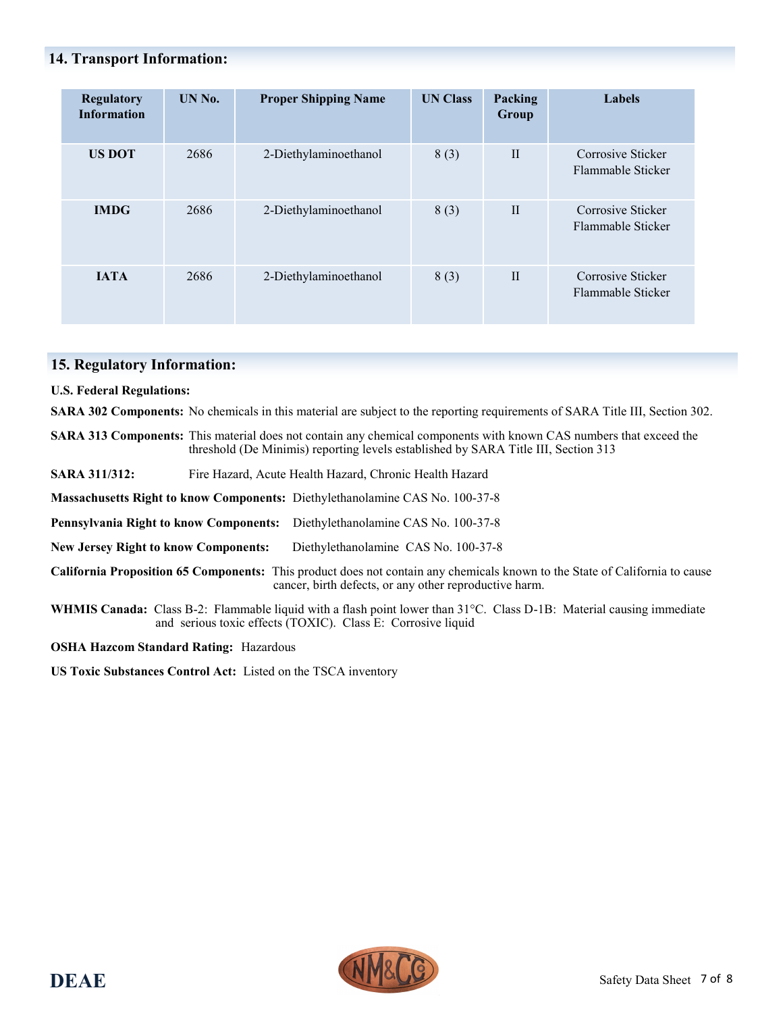## **14. Transport Information:**

| Regulatory<br><b>Information</b> | UN No. | <b>Proper Shipping Name</b> | <b>UN Class</b> | Packing<br>Group | Labels                                 |
|----------------------------------|--------|-----------------------------|-----------------|------------------|----------------------------------------|
| <b>US DOT</b>                    | 2686   | 2-Diethylaminoethanol       | 8(3)            | $\mathbf{I}$     | Corrosive Sticker<br>Flammable Sticker |
| <b>IMDG</b>                      | 2686   | 2-Diethylaminoethanol       | 8(3)            | $\mathbf{I}$     | Corrosive Sticker<br>Flammable Sticker |
| <b>IATA</b>                      | 2686   | 2-Diethylaminoethanol       | 8(3)            | $\mathbf{I}$     | Corrosive Sticker<br>Flammable Sticker |

## **15. Regulatory Information:**

**U.S. Federal Regulations:**

**SARA 302 Components:** No chemicals in this material are subject to the reporting requirements of SARA Title III, Section 302.

**SARA 313 Components:** This material does not contain any chemical components with known CAS numbers that exceed the threshold (De Minimis) reporting levels established by SARA Title III, Section 313

**SARA 311/312:** Fire Hazard, Acute Health Hazard, Chronic Health Hazard

**Massachusetts Right to know Components:** Diethylethanolamine CAS No. 100-37-8

**Pennsylvania Right to know Components:** Diethylethanolamine CAS No. 100-37-8

**New Jersey Right to know Components:** Diethylethanolamine CAS No. 100-37-8

**California Proposition 65 Components:** This product does not contain any chemicals known to the State of California to cause cancer, birth defects, or any other reproductive harm.

**WHMIS Canada:** Class B-2: Flammable liquid with a flash point lower than 31°C. Class D-1B: Material causing immediate and serious toxic effects (TOXIC). Class E: Corrosive liquid

**OSHA Hazcom Standard Rating:** Hazardous

**US Toxic Substances Control Act:** Listed on the TSCA inventory